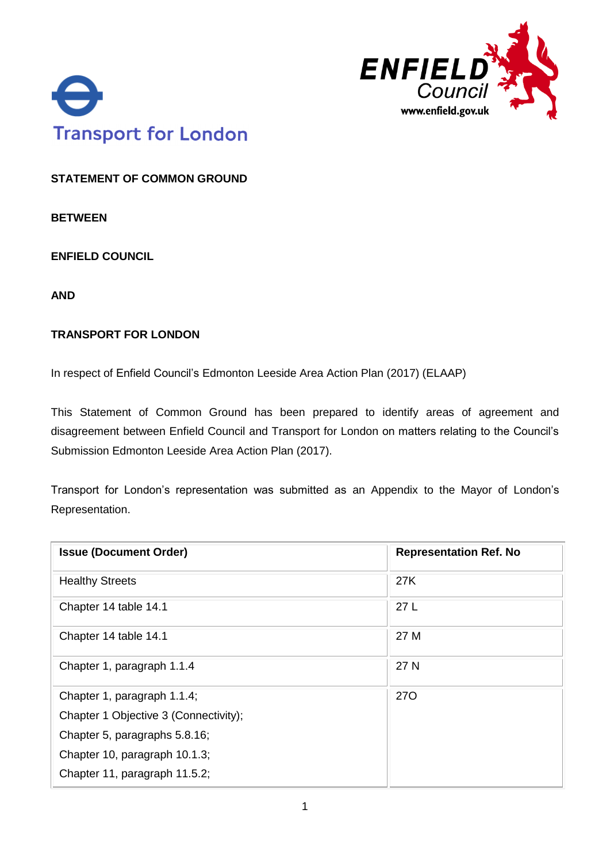



**STATEMENT OF COMMON GROUND**

**BETWEEN**

**ENFIELD COUNCIL** 

**AND**

#### **TRANSPORT FOR LONDON**

In respect of Enfield Council's Edmonton Leeside Area Action Plan (2017) (ELAAP)

This Statement of Common Ground has been prepared to identify areas of agreement and disagreement between Enfield Council and Transport for London on matters relating to the Council's Submission Edmonton Leeside Area Action Plan (2017).

Transport for London's representation was submitted as an Appendix to the Mayor of London's Representation.

| <b>Issue (Document Order)</b>         | <b>Representation Ref. No</b> |
|---------------------------------------|-------------------------------|
| <b>Healthy Streets</b>                | 27K                           |
| Chapter 14 table 14.1                 | 27L                           |
| Chapter 14 table 14.1                 | 27 M                          |
| Chapter 1, paragraph 1.1.4            | 27 N                          |
| Chapter 1, paragraph 1.1.4;           | <b>270</b>                    |
| Chapter 1 Objective 3 (Connectivity); |                               |
| Chapter 5, paragraphs 5.8.16;         |                               |
| Chapter 10, paragraph 10.1.3;         |                               |
| Chapter 11, paragraph 11.5.2;         |                               |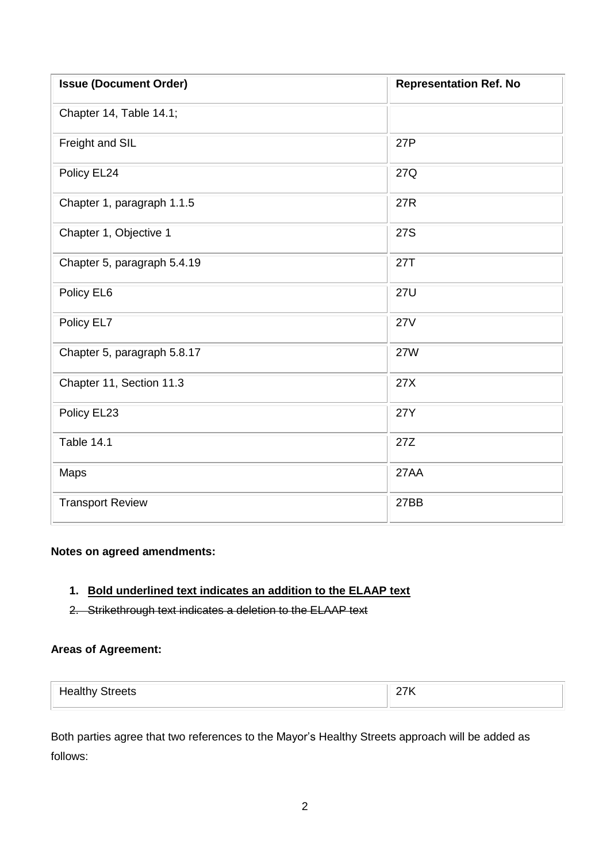| <b>Issue (Document Order)</b> | <b>Representation Ref. No</b> |
|-------------------------------|-------------------------------|
| Chapter 14, Table 14.1;       |                               |
| Freight and SIL               | 27P                           |
| Policy EL24                   | 27Q                           |
| Chapter 1, paragraph 1.1.5    | <b>27R</b>                    |
| Chapter 1, Objective 1        | 27S                           |
| Chapter 5, paragraph 5.4.19   | 27T                           |
| Policy EL6                    | <b>27U</b>                    |
| Policy EL7                    | <b>27V</b>                    |
| Chapter 5, paragraph 5.8.17   | <b>27W</b>                    |
| Chapter 11, Section 11.3      | 27X                           |
| Policy EL23                   | <b>27Y</b>                    |
| Table 14.1                    | 27Z                           |
| Maps                          | 27AA                          |
| <b>Transport Review</b>       | 27BB                          |

#### **Notes on agreed amendments:**

# **1. Bold underlined text indicates an addition to the ELAAP text**

2. Strikethrough text indicates a deletion to the ELAAP text

### **Areas of Agreement:**

| <b>Healthy Streets</b> | $\sim$ $\sim$ $\sim$ $\sim$ |
|------------------------|-----------------------------|
|                        |                             |

Both parties agree that two references to the Mayor's Healthy Streets approach will be added as follows: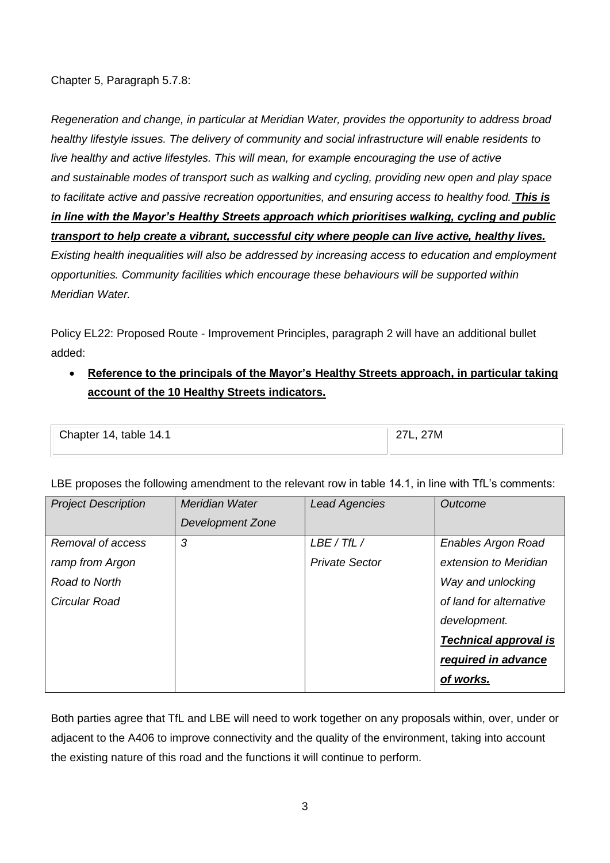Chapter 5, Paragraph 5.7.8:

*Regeneration and change, in particular at Meridian Water, provides the opportunity to address broad healthy lifestyle issues. The delivery of community and social infrastructure will enable residents to live healthy and active lifestyles. This will mean, for example encouraging the use of active and sustainable modes of transport such as walking and cycling, providing new open and play space to facilitate active and passive recreation opportunities, and ensuring access to healthy food. This is in line with the Mayor's Healthy Streets approach which prioritises walking, cycling and public transport to help create a vibrant, successful city where people can live active, healthy lives. Existing health inequalities will also be addressed by increasing access to education and employment opportunities. Community facilities which encourage these behaviours will be supported within Meridian Water.*

Policy EL22: Proposed Route - Improvement Principles, paragraph 2 will have an additional bullet added:

• **Reference to the principals of the Mayor's Healthy Streets approach, in particular taking account of the 10 Healthy Streets indicators.**

| Chapter 14, table 14.1 | 27M |
|------------------------|-----|
|                        |     |
|                        |     |

LBE proposes the following amendment to the relevant row in table 14.1, in line with TfL's comments:

| <b>Project Description</b> | Meridian Water   | <b>Lead Agencies</b>  | Outcome                      |
|----------------------------|------------------|-----------------------|------------------------------|
|                            | Development Zone |                       |                              |
| Removal of access          | 3                | LBE / TfL /           | <b>Enables Argon Road</b>    |
| ramp from Argon            |                  | <b>Private Sector</b> | extension to Meridian        |
| Road to North              |                  |                       | Way and unlocking            |
| Circular Road              |                  |                       | of land for alternative      |
|                            |                  |                       | development.                 |
|                            |                  |                       | <b>Technical approval is</b> |
|                            |                  |                       | required in advance          |
|                            |                  |                       | of works.                    |

Both parties agree that TfL and LBE will need to work together on any proposals within, over, under or adjacent to the A406 to improve connectivity and the quality of the environment, taking into account the existing nature of this road and the functions it will continue to perform.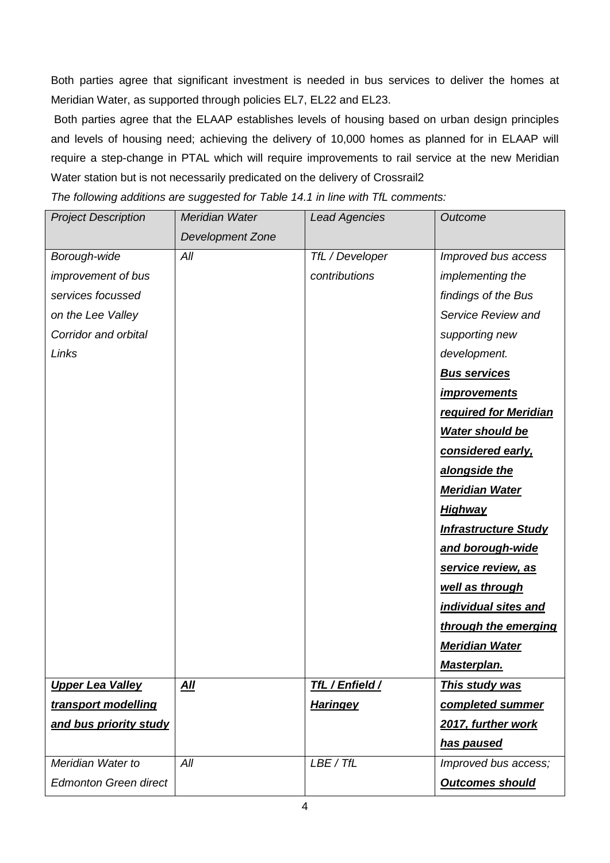Both parties agree that significant investment is needed in bus services to deliver the homes at Meridian Water, as supported through policies EL7, EL22 and EL23.

Both parties agree that the ELAAP establishes levels of housing based on urban design principles and levels of housing need; achieving the delivery of 10,000 homes as planned for in ELAAP will require a step-change in PTAL which will require improvements to rail service at the new Meridian Water station but is not necessarily predicated on the delivery of Crossrail2

*The following additions are suggested for Table 14.1 in line with TfL comments:*

| <b>Project Description</b>   | Meridian Water   | <b>Lead Agencies</b>   | Outcome                     |
|------------------------------|------------------|------------------------|-----------------------------|
|                              | Development Zone |                        |                             |
| Borough-wide                 | All              | TfL / Developer        | Improved bus access         |
| <i>improvement of bus</i>    |                  | contributions          | implementing the            |
| services focussed            |                  |                        | findings of the Bus         |
| on the Lee Valley            |                  |                        | Service Review and          |
| Corridor and orbital         |                  |                        | supporting new              |
| Links                        |                  |                        | development.                |
|                              |                  |                        | <b>Bus services</b>         |
|                              |                  |                        | <i>improvements</i>         |
|                              |                  |                        | required for Meridian       |
|                              |                  |                        | <b>Water should be</b>      |
|                              |                  |                        | considered early,           |
|                              |                  |                        | alongside the               |
|                              |                  |                        | <b>Meridian Water</b>       |
|                              |                  |                        | <b>Highway</b>              |
|                              |                  |                        | <b>Infrastructure Study</b> |
|                              |                  |                        | and borough-wide            |
|                              |                  |                        | service review, as          |
|                              |                  |                        | well as through             |
|                              |                  |                        | individual sites and        |
|                              |                  |                        | through the emerging        |
|                              |                  |                        | <b>Meridian Water</b>       |
|                              |                  |                        | <u>Masterplan.</u>          |
| <b>Upper Lea Valley</b>      | <u>All</u>       | <b>TfL / Enfield /</b> | <b>This study was</b>       |
| transport modelling          |                  | <b>Haringey</b>        | completed summer            |
| and bus priority study       |                  |                        | 2017, further work          |
|                              |                  |                        | <u>has paused</u>           |
| Meridian Water to            | All              | LBE / TfL              | Improved bus access;        |
| <b>Edmonton Green direct</b> |                  |                        | <b>Outcomes should</b>      |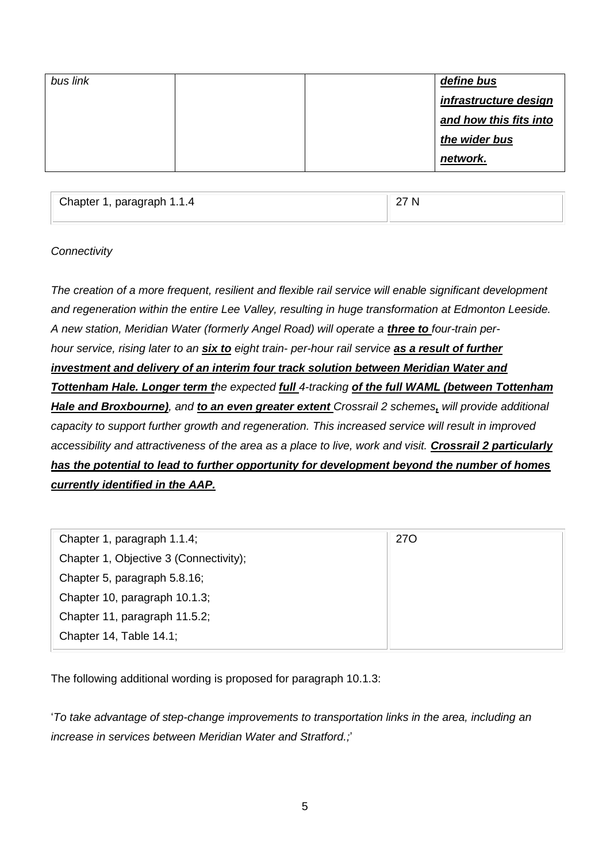| bus link |  | define bus             |
|----------|--|------------------------|
|          |  | infrastructure design  |
|          |  | and how this fits into |
|          |  | the wider bus          |
|          |  | network.               |
|          |  |                        |

Chapter 1, paragraph 1.1.4 27 N

## *Connectivity*

*The creation of a more frequent, resilient and flexible rail service will enable significant development and regeneration within the entire Lee Valley, resulting in huge transformation at Edmonton Leeside.*  A new station, Meridian Water (formerly Angel Road) will operate a **three to** four-train per*hour service, rising later to an six to eight train- per-hour rail service as a result of further investment and delivery of an interim four track solution between Meridian Water and Tottenham Hale. Longer term the expected full 4-tracking of the full WAML (between Tottenham Hale and Broxbourne), and to an even greater extent Crossrail 2 schemes, will provide additional capacity to support further growth and regeneration. This increased service will result in improved accessibility and attractiveness of the area as a place to live, work and visit. Crossrail 2 particularly has the potential to lead to further opportunity for development beyond the number of homes currently identified in the AAP.*

| Chapter 1, paragraph 1.1.4;            | <b>270</b> |
|----------------------------------------|------------|
| Chapter 1, Objective 3 (Connectivity); |            |
| Chapter 5, paragraph 5.8.16;           |            |
| Chapter 10, paragraph 10.1.3;          |            |
| Chapter 11, paragraph 11.5.2;          |            |
| Chapter 14, Table 14.1;                |            |

The following additional wording is proposed for paragraph 10.1.3:

'*To take advantage of step-change improvements to transportation links in the area, including an increase in services between Meridian Water and Stratford.;*'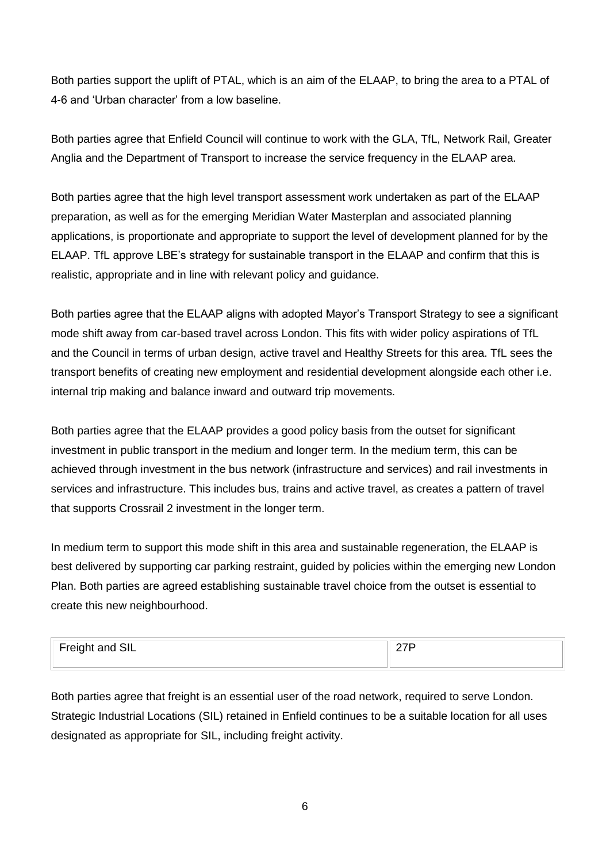Both parties support the uplift of PTAL, which is an aim of the ELAAP, to bring the area to a PTAL of 4-6 and 'Urban character' from a low baseline.

Both parties agree that Enfield Council will continue to work with the GLA, TfL, Network Rail, Greater Anglia and the Department of Transport to increase the service frequency in the ELAAP area.

Both parties agree that the high level transport assessment work undertaken as part of the ELAAP preparation, as well as for the emerging Meridian Water Masterplan and associated planning applications, is proportionate and appropriate to support the level of development planned for by the ELAAP. TfL approve LBE's strategy for sustainable transport in the ELAAP and confirm that this is realistic, appropriate and in line with relevant policy and guidance.

Both parties agree that the ELAAP aligns with adopted Mayor's Transport Strategy to see a significant mode shift away from car-based travel across London. This fits with wider policy aspirations of TfL and the Council in terms of urban design, active travel and Healthy Streets for this area. TfL sees the transport benefits of creating new employment and residential development alongside each other i.e. internal trip making and balance inward and outward trip movements.

Both parties agree that the ELAAP provides a good policy basis from the outset for significant investment in public transport in the medium and longer term. In the medium term, this can be achieved through investment in the bus network (infrastructure and services) and rail investments in services and infrastructure. This includes bus, trains and active travel, as creates a pattern of travel that supports Crossrail 2 investment in the longer term.

In medium term to support this mode shift in this area and sustainable regeneration, the ELAAP is best delivered by supporting car parking restraint, guided by policies within the emerging new London Plan. Both parties are agreed establishing sustainable travel choice from the outset is essential to create this new neighbourhood.

| <sup>1</sup> Freight and SIL |  |
|------------------------------|--|
|                              |  |

Both parties agree that freight is an essential user of the road network, required to serve London. Strategic Industrial Locations (SIL) retained in Enfield continues to be a suitable location for all uses designated as appropriate for SIL, including freight activity.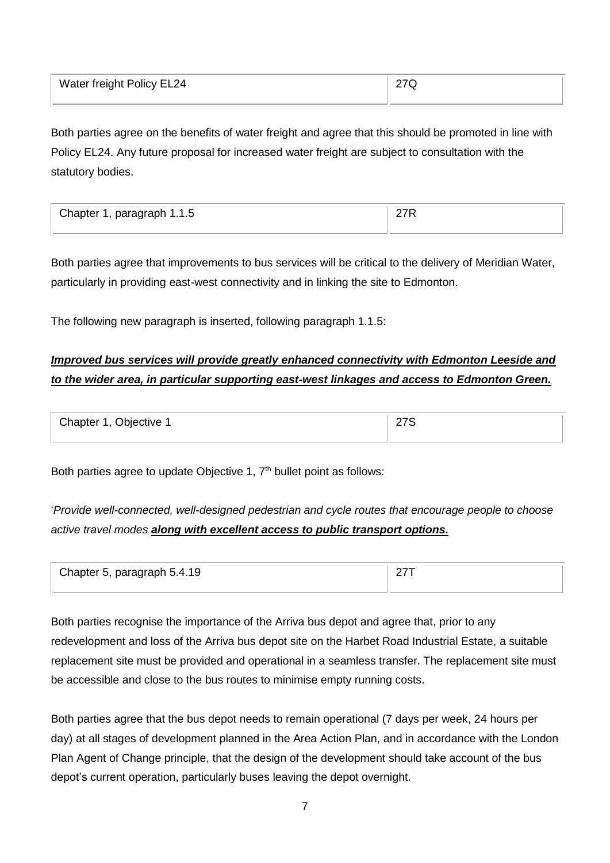| Water freight Policy EL24 | 27Q |
|---------------------------|-----|
|                           |     |

Both parties agree on the benefits of water freight and agree that this should be promoted in line with Policy EL24. Any future proposal for increased water freight are subject to consultation with the statutory bodies.

| Chapter 1, paragraph 1.1.5 |  |
|----------------------------|--|
|                            |  |

Both parties agree that improvements to bus services will be critical to the delivery of Meridian Water, particularly in providing east-west connectivity and in linking the site to Edmonton.

The following new paragraph is inserted, following paragraph 1.1.5:

# *Improved bus services will provide greatly enhanced connectivity with Edmonton Leeside and to the wider area, in particular supporting east-west linkages and access to Edmonton Green.*

| Chapter 1, Objective 1 | __ |
|------------------------|----|
|                        |    |

Both parties agree to update Objective 1, 7<sup>th</sup> bullet point as follows:

'*Provide well-connected, well-designed pedestrian and cycle routes that encourage people to choose active travel modes along with excellent access to public transport options.*

| Chapter 5, paragraph 5.4.19 |  |
|-----------------------------|--|
|                             |  |

Both parties recognise the importance of the Arriva bus depot and agree that, prior to any redevelopment and loss of the Arriva bus depot site on the Harbet Road Industrial Estate, a suitable replacement site must be provided and operational in a seamless transfer. The replacement site must be accessible and close to the bus routes to minimise empty running costs.

Both parties agree that the bus depot needs to remain operational (7 days per week, 24 hours per day) at all stages of development planned in the Area Action Plan, and in accordance with the London Plan Agent of Change principle, that the design of the development should take account of the bus depot's current operation, particularly buses leaving the depot overnight.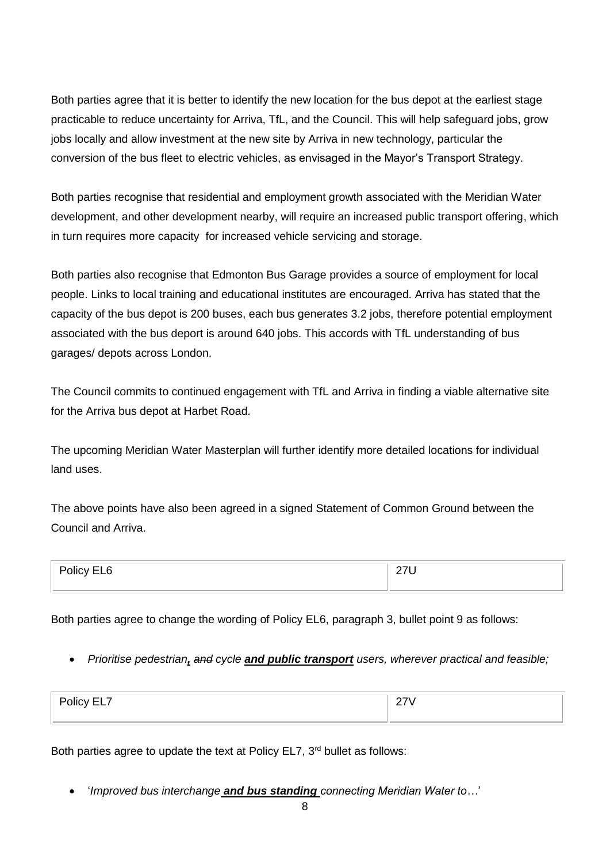Both parties agree that it is better to identify the new location for the bus depot at the earliest stage practicable to reduce uncertainty for Arriva, TfL, and the Council. This will help safeguard jobs, grow jobs locally and allow investment at the new site by Arriva in new technology, particular the conversion of the bus fleet to electric vehicles, as envisaged in the Mayor's Transport Strategy.

Both parties recognise that residential and employment growth associated with the Meridian Water development, and other development nearby, will require an increased public transport offering, which in turn requires more capacity for increased vehicle servicing and storage.

Both parties also recognise that Edmonton Bus Garage provides a source of employment for local people. Links to local training and educational institutes are encouraged. Arriva has stated that the capacity of the bus depot is 200 buses, each bus generates 3.2 jobs, therefore potential employment associated with the bus deport is around 640 jobs. This accords with TfL understanding of bus garages/ depots across London.

The Council commits to continued engagement with TfL and Arriva in finding a viable alternative site for the Arriva bus depot at Harbet Road.

The upcoming Meridian Water Masterplan will further identify more detailed locations for individual land uses.

The above points have also been agreed in a signed Statement of Common Ground between the Council and Arriva.

| - 1<br>∽<br>olicy EL'<br>n<br>---<br>____<br>$\sim$ $\sim$ | - -<br>$\overline{\phantom{0}}$ |
|------------------------------------------------------------|---------------------------------|
|                                                            |                                 |

Both parties agree to change the wording of Policy EL6, paragraph 3, bullet point 9 as follows:

• *Prioritise pedestrian, and cycle and public transport users, wherever practical and feasible;* 

| $ \cdot$<br>--<br>лісу н<br>—— <u>—</u> 1<br>$ -$ | - |
|---------------------------------------------------|---|
|                                                   |   |

Both parties agree to update the text at Policy EL7, 3<sup>rd</sup> bullet as follows:

• '*Improved bus interchange and bus standing connecting Meridian Water to…*'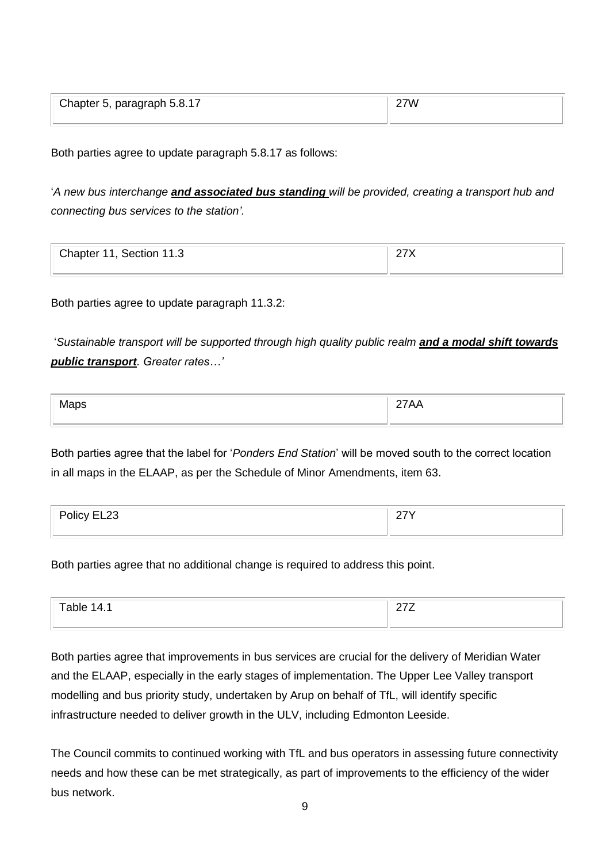| Chapter 5, paragraph 5.8.17 | 27W |
|-----------------------------|-----|
|                             |     |

Both parties agree to update paragraph 5.8.17 as follows:

'*A new bus interchange and associated bus standing will be provided, creating a transport hub and connecting bus services to the station'.*

| Chapter 11, Section 11.3 |  |
|--------------------------|--|
|                          |  |

Both parties agree to update paragraph 11.3.2:

'*Sustainable transport will be supported through high quality public realm and a modal shift towards public transport. Greater rates…'*

| $\sim$ |  |
|--------|--|
|        |  |

Both parties agree that the label for '*Ponders End Station*' will be moved south to the correct location in all maps in the ELAAP, as per the Schedule of Minor Amendments, item 63.

| D <sub>0</sub><br><b>POIICY EL</b><br><b>CLZJ</b> | - - - |  |
|---------------------------------------------------|-------|--|
|                                                   |       |  |

Both parties agree that no additional change is required to address this point.

| חר.            | --  |
|----------------|-----|
| $\overline{a}$ | . - |
|                |     |
|                |     |

Both parties agree that improvements in bus services are crucial for the delivery of Meridian Water and the ELAAP, especially in the early stages of implementation. The Upper Lee Valley transport modelling and bus priority study, undertaken by Arup on behalf of TfL, will identify specific infrastructure needed to deliver growth in the ULV, including Edmonton Leeside.

The Council commits to continued working with TfL and bus operators in assessing future connectivity needs and how these can be met strategically, as part of improvements to the efficiency of the wider bus network.